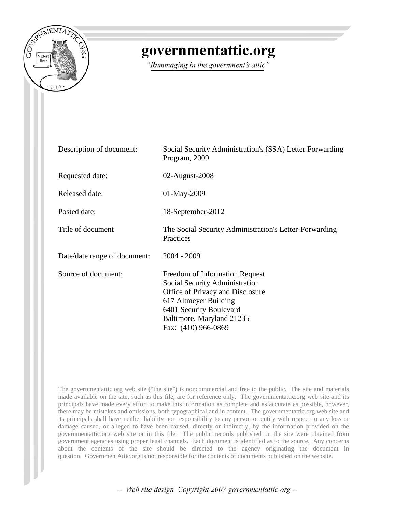

# governmentattic.org

"Rummaging in the government's attic"

| Description of document:     | Social Security Administration's (SSA) Letter Forwarding<br>Program, 2009                                                                                                                                    |
|------------------------------|--------------------------------------------------------------------------------------------------------------------------------------------------------------------------------------------------------------|
| Requested date:              | 02-August-2008                                                                                                                                                                                               |
| Released date:               | 01-May-2009                                                                                                                                                                                                  |
| Posted date:                 | 18-September-2012                                                                                                                                                                                            |
| Title of document            | The Social Security Administration's Letter-Forwarding<br>Practices                                                                                                                                          |
| Date/date range of document: | $2004 - 2009$                                                                                                                                                                                                |
| Source of document:          | Freedom of Information Request<br>Social Security Administration<br>Office of Privacy and Disclosure<br>617 Altmeyer Building<br>6401 Security Boulevard<br>Baltimore, Maryland 21235<br>Fax: (410) 966-0869 |

The governmentattic.org web site ("the site") is noncommercial and free to the public. The site and materials made available on the site, such as this file, are for reference only. The governmentattic.org web site and its principals have made every effort to make this information as complete and as accurate as possible, however, there may be mistakes and omissions, both typographical and in content. The governmentattic.org web site and its principals shall have neither liability nor responsibility to any person or entity with respect to any loss or damage caused, or alleged to have been caused, directly or indirectly, by the information provided on the governmentattic.org web site or in this file. The public records published on the site were obtained from government agencies using proper legal channels. Each document is identified as to the source. Any concerns about the contents of the site should be directed to the agency originating the document in question. GovernmentAttic.org is not responsible for the contents of documents published on the website.

-- Web site design Copyright 2007 governmentattic.org --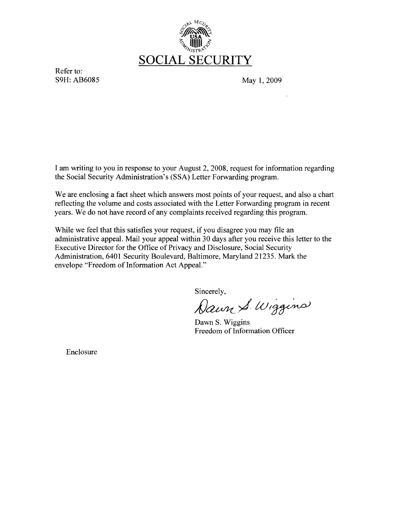

Refer to:<br>S9H: AB6085

May 1, 2009

I am writing to you in response to your August 2, 2008, request for information regarding the Social Security Administration's (SSA) Letter Forwarding program.

We are enclosing a fact sheet which answers most points of your request, and also a chart reflecting the volume and costs associated with the Letter Forwarding program in recent years. We do not have record of any complaints received regarding this program.

While we feel that this satisfies your request, if you disagree you may file an administrative appeal. Mail your appeal within 30 days after you receive this letter to the Executive Director for the Office of Privacy and Disclosure, Social Security Administration, 6401 Security Boulevard, Baltimore, Maryland 21235. Mark the envelope "Freedom of Information Act Appeal."

Sincerely,

Dawn S. Wiggins

Dawn S. Wiggins Freedom of Information Officer

Enclosure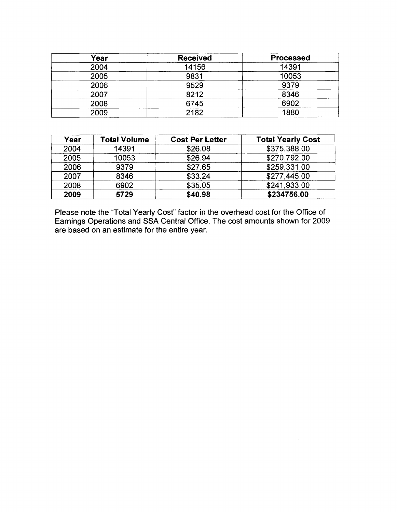| Year | <b>Received</b> | <b>Processed</b> |
|------|-----------------|------------------|
| 2004 | 14156           | 14391            |
| 2005 | 9831            | 10053            |
| 2006 | 9529            | 9379             |
| 2007 | 8212            | 8346             |
| 2008 | 6745            | 6902             |
| 2009 | 2182            | 1880             |

| Year | <b>Total Volume</b> | <b>Cost Per Letter</b> | <b>Total Yearly Cost</b> |
|------|---------------------|------------------------|--------------------------|
| 2004 | 14391               | \$26.08                | \$375,388.00             |
| 2005 | 10053               | \$26.94                | \$270,792.00             |
| 2006 | 9379                | \$27.65                | \$259,331.00             |
| 2007 | 8346                | \$33.24                | \$277,445.00             |
| 2008 | 6902                | \$35.05                | \$241,933.00             |
| 2009 | 5729                | \$40.98                | \$234756.00              |

Please note the "Total Yearly Cost" factor in the overhead cost for the Office of Earnings Operations and SSA Central Office. The cost amounts shown for 2009 are based on an estimate for the entire year.